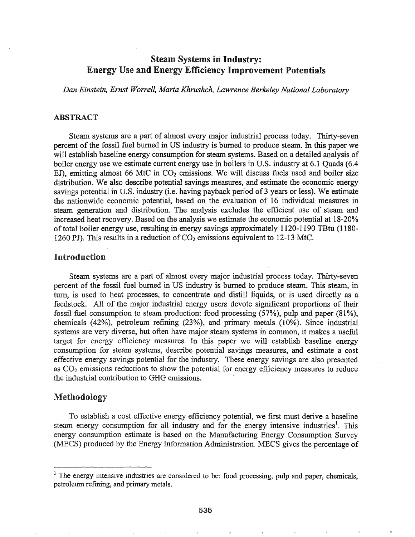# **Steam Systems in Industry:** Energy Use and Energy Efficiency Improvement Potentials

*Dan Einstein, Ernst Worrell, Marta Khrushch, Lawrence Berkeley National Laboratory*

### ABSTRACT

Steam systems are a part of almost every major industrial process today. Thirty-seven percent of the fossil fuel burned in US industry is burned to produce steam. In this paper we will establish baseline energy consumption for steam systems. Based on a detailed analysis of boiler energy use we estimate current energy use in boilers in U.S. industry at 6.1 Quads (6.4 EJ), emitting almost 66 MtC in  $CO<sub>2</sub>$  emissions. We will discuss fuels used and boiler size distribution. We also describe potential savings measures, and estimate the economic energy savings potential in U.S. industry (i.e. having payback period of 3 years or less). We estimate the nationwide economic potential, based on the evaluation of 16 individual measures in steam generation and distribution. The analysis excludes the efficient use of steam and increased heat recovery. Based on the analysis we estimate the economic potential at 18-20% oftotal boiler energy use, resulting in energy savings approximately 1120-1190 TBtu (1180- 1260 PJ). This results in a reduction of  $CO<sub>2</sub>$  emissions equivalent to 12-13 MtC.

## Introduction

Steam systems are a part of almost every major industrial process today. Thirty-seven percent of the fossil fuel burned in US industry is burned to produce steam. This steam, in turn, is used to heat processes, to concentrate and distill liquids, or is used directly as a feedstock. All of the major industrial energy users devote significant proportions of their fossil fuel consumption to steam production: food processing (57%), pulp and paper (81%), chemicals (42%), petroleum refining (23%), and primary metals (10%). Since industrial systems are very diverse, but often have major steam systems in common, it makes a useful target for energy efficiency measures. In this paper we will establish baseline energy consumption for steam systems, describe potential savings measures, and estimate a cost effective energy savings potential for the industry. These energy savings are also presented as  $CO<sub>2</sub>$  emissions reductions to show the potential for energy efficiency measures to reduce the industrial contribution to GHG emissions.

#### Methodology

To establish a cost effective energy efficiency potential, we first must derive a baseline steam energy consumption for all industry and for the energy intensive industries<sup>1</sup>. This energy consumption estimate is based on the Manufacturing Energy Consumption Survey (MECS) produced by the Energy Information Administration. MECS gives the percentage of

<sup>&</sup>lt;sup>1</sup> The energy intensive industries are considered to be: food processing, pulp and paper, chemicals, petroleum refining, and primary metals.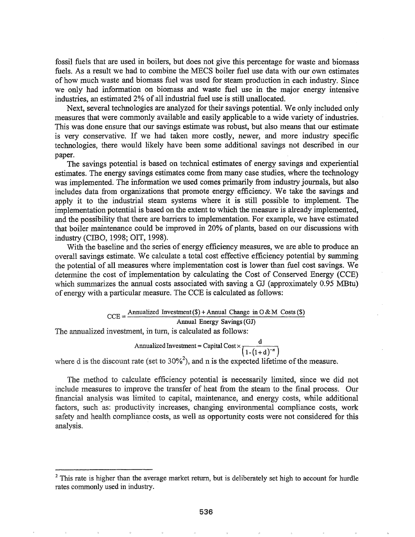fossil fuels that are used in boilers, but does not give this percentage for waste and biomass fuels. As a result we had to combine the MECS boiler fuel use data with our own estimates of how much waste and biomass fuel was used for steam production in each industry. Since we only had information on biomass and waste fuel use in the major energy intensive industries, an estimated 2% of all industrial fuel use is still unallocated.

Next, several technologies are analyzed for their savings potential. We only included only measures that were commonly available and easily applicable to a wide variety of industries. This was done ensure that our savings estimate was robust, but also means that our estimate is very conservative. If we had taken more costly, newer, and more industry specific technologies, there would likely have been some additional savings not described in our paper.

The savings potential is based on technical estimates of energy savings and experiential estimates. The energy savings estimates come from many case studies, where the technology was implemented. The information we used comes primarily from industry journals, but also includes data from organizations that promote energy efficiency. We take the savings and apply it to the industrial steam systems where it is still possible to implement. The implementation potential is based on the extent to which the measure is already implemented, and the possibility that there are barriers to implementation. For example, we have estimated that boiler maintenance could be improved in 20% of plants, based on our discussions with industry (CIBO, 1998; OIT, 1998).

With the baseline and the series of energy efficiency measures, we are able to produce an overall savings estimate. We calculate a total cost effective efficiency potential by summing the potential of all measures where implementation cost is lower than fuel cost savings. We determine the cost of implementation by calculating the Cost of Conserved Energy (CCE) which summarizes the annual costs associated with saving a GJ (approximately 0.95 MBtu) of energy with a particular measure. The CCE is calculated as follows:

> $CCE =$ Annualized Investment(\$) + Annual Change in  $0 & M$  Costs (\$) Annual Energy Savings(GJ)

The annualized investment, in tum, is calculated as follows:

Annualized Investment = Capital Cost  $\times \frac{d}{(1-(1+d)^{-n})}$ 

where d is the discount rate (set to  $30\%^2$ ), and n is the expected lifetime of the measure.

The method to calculate efficiency potential is necessarily limited, since we did not include measures to improve the transfer of heat from the steam to the final process. Our financial analysis was limited to capital, maintenance, and energy costs, while additional factors, such as: productivity increases, changing environmental compliance costs, work safety and health compliance costs, as well as opportunity costs were not considered for this analysis.

 $2$  This rate is higher than the average market return, but is deliberately set high to account for hurdle rates commonly used in industry.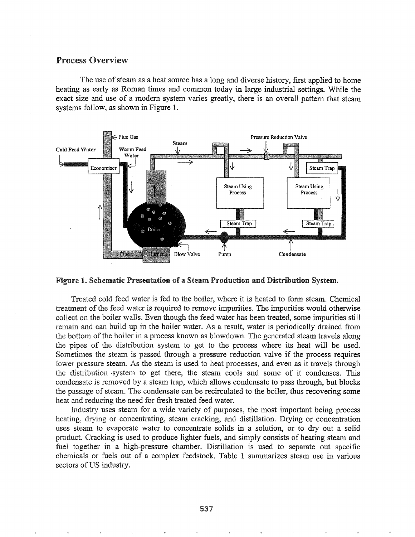## Process Overview

The use of steam as a heat source has a long and diverse history, first applied to home heating as early as Roman times and common today in large industrial settings. While the exact size and use of a modem system varies greatly, there is an overall pattern that steam systems follow, as shown in Figure 1.



#### Figure 1. Schematic Presentation of a Steam Production and Distribution System.

Treated cold feed water is fed to the boiler, where it is heated to form steam. Chemical treatment of the feed water is required to remove impurities. The impurities would otherwise collect on the boiler walls. Even though the feed water has been treated, some impurities still remain and can build up in the boiler water. As a result, water is periodically drained from the bottom of the boiler in a process known as blowdown. The generated steam travels along the pipes of the distribution system to get to the process where its heat will be used. Sometimes the steam is passed through a pressure reduction valve if the process requires lower pressure steam. As the steam is used to heat processes, and even as it travels through the distribution system to get there, the steam cools and some of it condenses. This condensate is removed by a steam trap, which allows condensate to pass through, but blocks the passage of steam. The condensate can be recirculated to the boiler, thus recovering some heat and reducing the need for fresh treated feed water.

Industry uses steam for a wide variety of purposes, the most important being process heating, drying or concentrating, steam cracking, and distillation. Drying or concentration uses steam to evaporate water to concentrate solids in a solution, or to dry out a solid product. Cracking is used to produce lighter fuels, and simply consists of heating steam and fuel together in a high-pressure chamber. Distillation is used to separate out specific chemicals or fuels out of a complex feedstock.. Table 1 summarizes steam use in various sectors of US industry.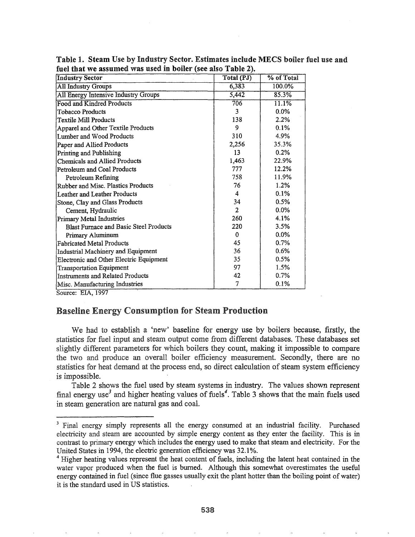| <b>Industry Sector</b>                         | <b>Total (PJ)</b> | % of Total |
|------------------------------------------------|-------------------|------------|
| <b>All Industry Groups</b>                     | 6,383             | 100.0%     |
| All Energy Intensive Industry Groups           | 5,442             | 85.3%      |
| <b>Food and Kindred Products</b>               | 706               | 11.1%      |
| Tobacco Products                               | 3                 | $0.0\%$    |
| Textile Mill Products                          | 138               | 2.2%       |
| Apparel and Other Textile Products             | 9                 | 0.1%       |
| Lumber and Wood Products                       | 310               | 4.9%       |
| Paper and Allied Products                      | 2,256             | 35.3%      |
| Printing and Publishing                        | 13                | 0.2%       |
| Chemicals and Allied Products                  | 1,463             | 22.9%      |
| Petroleum and Coal Products                    | 777               | 12.2%      |
| Petroleum Refining                             | 758               | 11.9%      |
| Rubber and Misc. Plastics Products             | 76                | 1.2%       |
| Leather and Leather Products                   | 4                 | 0.1%       |
| Stone, Clay and Glass Products                 | 34                | 0.5%       |
| Cement, Hydraulic                              | $\mathbf{2}$      | 0.0%       |
| Primary Metal Industries                       | 260               | 4.1%       |
| <b>Blast Furnace and Basic Steel Products</b>  | 220               | 3.5%       |
| Primary Aluminum                               | $\bf{0}$          | $0.0\%$    |
| <b>Fabricated Metal Products</b>               | 45                | 0.7%       |
| Industrial Machinery and Equipment             | 36                | 0.6%       |
| <b>Electronic and Other Electric Equipment</b> | 35                | 0.5%       |
| <b>Transportation Equipment</b>                | 97                | 1.5%       |
| <b>Instruments and Related Products</b>        | 42                | 0.7%       |
| Misc. Manufacturing Industries                 | 7                 | 0.1%       |
| $C_{\text{current}}$ $EIA$ $1007$              |                   |            |

Table 1. Steam Use by Industry Sector. Estimates include MECS boiler fuel use and fuel that we assumed was used in boiler (see also Table 2).

Source: EIA, 1997

## Baseline Energy Consumption for Steam Production

We had to establish a 'new' baseline for energy use by boilers because, firstly, the statistics for fuel input and steam output come from different databases. These databases set slightly different parameters for which boilers they count, making it impossible to compare the two and produce an overall boiler efficiency measurement. Secondly, there are no statistics for heat demand at the process end, so direct calculation of steam system efficiency is impossible.

Table 2 shows the fuel used by steam systems in industry.. The values shown represent final energy use<sup>3</sup> and higher heating values of fuels<sup>4</sup>. Table 3 shows that the main fuels used in steam generation are natural gas and coal.

<sup>&</sup>lt;sup>3</sup> Final energy simply represents all the energy consumed at an industrial facility. Purchased electricity and steam are accounted by simple energy content as they enter the facility.. This is in contrast to primary energy which includes the energy used to make that steam and electricity. For the United States in 1994, the electric generation efficiency was 32.1%.

<sup>&</sup>lt;sup>4</sup> Higher heating values represent the heat content of fuels, including the latent heat contained in the water vapor produced when the fuel is burned. Although this somewhat overestimates the useful energy contained in fuel (since flue gasses usually exit the plant hotter than the boiling point of water) it is the standard used in US statistics.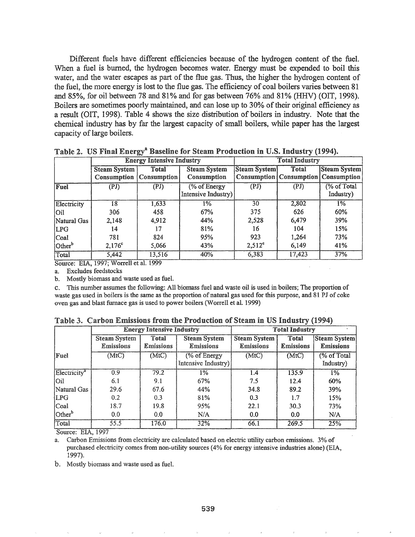Different fuels have different efficiencies because of the hydrogen content of the fuel. When a fuel is burned, the hydrogen becomes water. Energy must be expended to boil this water, and the water escapes as part of the flue gas. Thus, the higher the hydrogen content of the fuel, the more energy is lost to the flue gas. The efficiency of coal boilers varies between 81 and 85%, for oil between 78 and 81% and for gas between 76% and 81% (HHV) (OIT, 1998). Boilers are sometimes poorly maintained, and can lose up to 30% of their original efficiency as a result (OIT, 1998). Table 4 shows the size distribution of boilers in industry. Note that the chemical industry has by far the largest capacity of small boilers, while paper has the largest capacity of large boilers.

|                    | <b>Energy Intensive Industry</b> |             |                     | <b>Total Industry</b> |        |                                                |  |
|--------------------|----------------------------------|-------------|---------------------|-----------------------|--------|------------------------------------------------|--|
|                    | Total<br><b>Steam System</b>     |             | <b>Steam System</b> | Steam System          | Total  | Steam System                                   |  |
|                    | Consumption                      | Consumption | Consumption         |                       |        | <b>Consumption   Consumption   Consumption</b> |  |
| Fuel               | (PI)                             | (PI)        | (% of Energy)       | (PJ)                  | (PD)   | (% of Total                                    |  |
|                    |                                  |             | Intensive Industry) |                       |        | Industry)                                      |  |
| Electricity        | 18                               | 1,633       | $1\%$               | 30                    | 2,802  | $1\%$                                          |  |
| Oil                | 306                              | 458         | 67%                 | 375                   | 626    | 60%                                            |  |
| Natural Gas        | 2,148                            | 4,912       | 44%                 | 2,528                 | 6,479  | 39%                                            |  |
| LPG                | 14                               | 17          | 81%                 | 16                    | 104    | 15%                                            |  |
| Coal               | 781                              | 824         | 95%                 | 923                   | 1,264  | 73%                                            |  |
| Other <sup>b</sup> | $2,176^c$                        | 5,066       | 43%                 | $2,512^{\circ}$       | 6,149  | 41%                                            |  |
| Total              | 5,442                            | 13,516      | 40%                 | 6,383                 | 17,423 | 37%                                            |  |

Table 2. US Final Energy<sup>a</sup> Baseline for Steam Production in U.S. Industry (1994).

Source: EIA, 1997; Worrell et al. 1999

a. Excludes feedstocks

b. Mostly biomass and waste used as fuel.

C.. This number assumes the following: All biomass fuel and waste oil is used in boilers; The proportion of waste gas used in boilers is the same as the proportion of natural gas used for this purpose, and 81 PJ of coke oven gas and blast furnace gas is used to power boilers (Worrell et al. 1999)

|                          | <b>Energy Intensive Industry</b> |                           |                                                       | <b>Total Industry</b>                   |                           |                                         |  |
|--------------------------|----------------------------------|---------------------------|-------------------------------------------------------|-----------------------------------------|---------------------------|-----------------------------------------|--|
|                          | <b>Steam System</b><br>Emissions | Total<br><b>Emissions</b> | <b>Steam System</b><br><b>Emissions</b>               | <b>Steam System</b><br><b>Emissions</b> | Total<br><b>Emissions</b> | <b>Steam System</b><br><b>Emissions</b> |  |
| Fuel                     | (MtC)                            | (MtC)                     | $\sqrt{\frac{6}{6}}$ of Energy<br>Intensive Industry) | (MtC)                                   | (MtC)                     | (% of Total<br>Industry)                |  |
| Electricity <sup>a</sup> | 0.9                              | 79.2                      | 1%                                                    | 1.4                                     | 135.9                     | $1\%$                                   |  |
| lOil.                    | 6.1                              | 9.1                       | 67%                                                   | 7.5                                     | 12.4                      | 60%                                     |  |
| Natural Gas              | 29.6                             | 67.6                      | 44%                                                   | 34.8                                    | 89.2                      | 39%                                     |  |
| LPG                      | 0.2 <sub>1</sub>                 | 0.3                       | 81%                                                   | 0.3                                     | 1.7                       | 15%                                     |  |
| $ $ Coal                 | 18.7                             | 19.8                      | 95%                                                   | 22.1                                    | 30.3                      | 73%                                     |  |
| Other <sup>b</sup>       | 0.0                              | 0.0                       | N/A                                                   | 0.0                                     | 0.0                       | N/A                                     |  |
| Total                    | 55.5                             | 176.0                     | 32%<br>66.1                                           |                                         | 269.5                     | 25%                                     |  |

Table 3. Carbon Emissions from the Production of Steam in US Industry (1994)

Source: EIA, 1997

a.Carbon Emissions from electricity are calculated based on electric utility carbon emissions. 3% of purchased electricity comes from non-utility sources (4% for energy intensive industries alone) (EIA, 1997).

b. Mostly biomass and waste used as fueL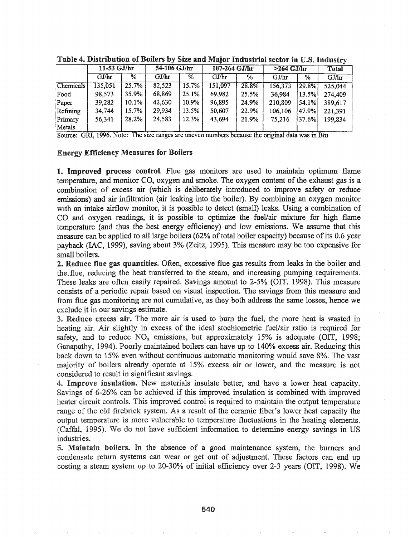|                                                                                                  | $11-53$ GJ/hr |       | 54-106 GJ/hr |       | 107-264 GJ/hr |       | $>264$ GJ/hr |            | <b>Total</b> |
|--------------------------------------------------------------------------------------------------|---------------|-------|--------------|-------|---------------|-------|--------------|------------|--------------|
|                                                                                                  | GJ/hr         | $\%$  | GJ/hr        | %     | GJ/hr         | %     | GJ/hr        | %          | GJ/hr        |
| Chemicals                                                                                        | 135,051       | 25.7% | 82,523       | 15.7% | 151,097       | 28.8% | 156,373      | $ 29.8\% $ | 525,044      |
| Food                                                                                             | 98,573        | 35.9% | 68,869       | 25.1% | 69,982        | 25.5% | 36,984       | $ 13.5\% $ | 274,409      |
| Paper                                                                                            | 39,282        | 10.1% | 42,630       | 10.9% | 96,895        | 24.9% | 210,809      | $ 54.1\% $ | 389,617      |
| Refining                                                                                         | 34,744        | 15.7% | 29,934       | 13.5% | 50,607        | 22.9% | 106,106      | 47.9%      | 221.391      |
| Primary                                                                                          | 56,341        | 28.2% | 24,583       | 12.3% | 43,694        | 21.9% | 75,216       | 37.6%      | 199,834      |
| Metals                                                                                           |               |       |              |       |               |       |              |            |              |
| Source: GRI, 1996. Note: The size ranges are uneven numbers because the original data was in Btu |               |       |              |       |               |       |              |            |              |

Table 4. Distribution of Boilers by Size and Major Industrial sector in U.S. Industry

#### Energy Efficiency Measures for Boilers

1. Improved process control. Flue gas monitors are used to maintain optimum flame temperature, and monitor CO, oxygen and smoke. The oxygen content ofthe exhaust gas is a comhihation of excess air (which is deliberately introduced to improve safety or reduce emissions) and air infiltration (air leaking into the boiler). By combining an oxygen monitor with an intake airflow monitor, it is possible to detect (small) leaks. Using a combination of CO and oxygen readings, it is possible to optimize the fuel/air mixture for high flame temperature (and thus the best energy efficiency) and low emissions. We assume that this measure can be applied to all large boilers (62% of total boiler capacity) because of its 0.6 year payback (IAC, J999), saving about 3% (Zeitz, 1995). This measure may be too expensive for small boilers.

**2. Reduce flue gas quantities.** Often, excessive flue gas results from leaks in the boiler and the~flue, reducing the heat transferred to the steam, and increasing pumping requirements. These leaks are often easily repaired. Savings amount to 2-5% (OlT, 1998). This measure consists of a periodic repair based on visual inspection. The savings from this measure and from flue gas monitoring are not cumulative, as they both address the same losses, hence we exclude it in our savings estimate.

3. Reduce excess air. The more air is used to burn the fuel, the more heat is wasted in heating air. Air slightly in excess of the ideal stochiometric fuel/air ratio is required for safety, and to reduce  $NO<sub>x</sub>$  emissions, but approximately 15% is adequate (OIT, 1998; Ganapathy, 1994). Poorly maintained boilers can have up to 140% excess air. Reducing this back down to 15% even without continuous automatic monitoring would save 8%. The vast majority of boilers already operate at 15% excess air or lower, and the measure is not considered to result in significant savings.

4. Improve insulation. New materials insulate better, and have a lower heat capacity. Savings of 6-26% can be achieved if this improved insulation is combined with improved heater circuit controls. This improved control is required to maintain the output temperature range of the old firebrick system. As a result of the ceramic fiber's lower heat capacity the output temperature is more vulnerable to temperature fluctuations in the heating elements. (Caffal, 1995). We do not have sufficient information to determine energy savings in US industries.

5. Maintain boilers. In the absence of a good maintenance system, the burners and condensate return systems can wear or get out of adjustment. These factors can end up costing a steam system up to 20-30% of initial efficiency over 2-3 years (OIT, 1998). We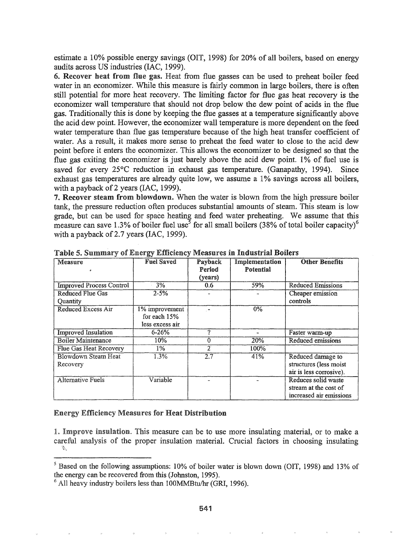estimate a 10% possible energy savings (OIT, 1998) for 20% of all boilers, based on energy audits across US industries (IAC, 1999).

6. Recover heat from flue gas. Heat from flue gasses can be used to preheat boiler feed water in an economizer. While this measure is fairly common in large boilers, there is often still potential for more heat recovery. The limiting factor for flue gas heat recovery is the economizer wall temperature that should not drop below the dew point of acids in the flue gas.. Traditionally this is done by keeping the flue gasses at a temperature significantly above the acid dew point. However, the economizer wall temperature is more dependent on the feed water temperature than flue gas temperature because of the high heat transfer coefficient of water. As a result, it makes more sense to preheat the feed water to close to the acid dew point before it enters the economizer. This allows the economizer to be designed so that the flue gas exiting the economizer is just barely above the acid dew point. 1% of fuel use is saved for every  $25^{\circ}$ C reduction in exhaust gas temperature. (Ganapathy, 1994). Since exhaust gas temperatures are already quite low, we assume a 1% savings across all boilers, with a payback of 2 years (IAC, 1999).

7. Recover steam from blowdown. When the water is blown from the high pressure boiler tank, the pressure reduction often produces substantial amounts of steam. This steam is low grade, but can be used for space heating and feed water preheating. We assume that this measure can save 1.3% of boiler fuel use<sup>5</sup> for all small boilers (38% of total boiler capacity)<sup>6</sup> with a payback of 2.7 years (IAC, 1999).

| Measure                                    | <b>Fuel Saved</b>                                 | Payback<br>Period<br>(years) | <b>Implementation</b><br>Potential | <b>Other Benefits</b>                                                   |
|--------------------------------------------|---------------------------------------------------|------------------------------|------------------------------------|-------------------------------------------------------------------------|
| <b>Improved Process Control</b>            | 3%                                                | 0.6                          | 59%                                | <b>Reduced Emissions</b>                                                |
| <b>Reduced Flue Gas</b><br><b>Quantity</b> | $2 - 5%$                                          |                              |                                    | Cheaper emission<br>controls                                            |
| <b>Reduced Excess Air</b>                  | 1% improvement<br>for each 15%<br>less excess air |                              | $0\%$                              |                                                                         |
| <b>Improved</b> Insulation                 | $6 - 26%$                                         | 9                            |                                    | Faster warm-up                                                          |
| <b>Boiler Maintenance</b>                  | 10%                                               | 0                            | <b>20%</b>                         | Reduced emissions                                                       |
| <b>Flue Gas Heat Recovery</b>              | 1%                                                | $\mathcal{Z}$                | 100%                               |                                                                         |
| Blowdown Steam Heat<br>Recovery            | 1.3%                                              | $\overline{2.7}$             | 41%                                | Reduced damage to<br>structures (less moist<br>air is less corrosive).  |
| <b>Alternative Fuels</b>                   | Variable                                          |                              |                                    | Reduces solid waste<br>stream at the cost of<br>increased air emissions |

Table 5. Summary of Energy Efficiency Measures in Industrial Boilers

#### Energy Efficiency Measures for Heat Distribution

1. Improve insulation. This measure can be to use more insulating material, or to make a careful analysis of the proper insulation material. Crucial factors in choosing insulating  $\mathcal{N}_{\mathcal{A}}$ 

<sup>&</sup>lt;sup>5</sup> Based on the following assumptions: 10% of boiler water is blown down (OIT, 1998) and 13% of the energy can be recovered from this (Johnston, 1995).

 $6$  All heavy industry boilers less than 100MMBtu/hr (GRI, 1996).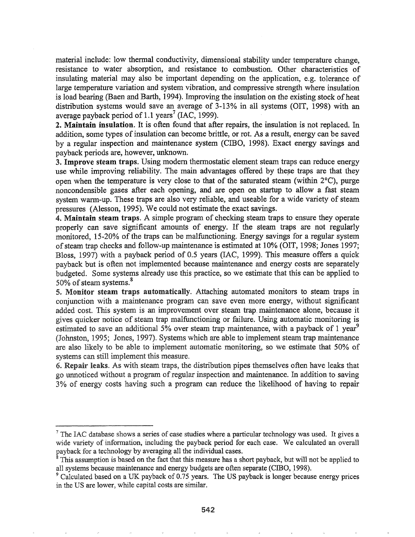material include: low thermal conductivity, dimensional stability under temperature change, resistance to water absorption, and resistance to combustion. Other characteristics of insulating material may also be important depending on the application, e.g. tolerance of large temperature variation and system vibration, and compressive strength where insulation is load bearing (Baen and Barth, 1994). Improving the insulation on the existing stock of heat distribution systems would save an average of 3-13% in all systems (OIT, 1998) with an average payback period of 1.1 years<sup>7</sup> (IAC, 1999).

2. Maintain insulation. It is often found that after repairs, the insulation is not replaced. In addition, some types of insulation can become brittle, or rot. As a result, energy can be saved by a regular inspection and maintenance system (CIBO, 1998). Exact energy savings and payback periods are, however, unknown.

3. Improve steam traps. Using modern thermostatic element steam traps can reduce energy use while improving reliability. The main advantages offered by these traps are that they open when the temperature is very close to that of the saturated steam (within  $2^{\circ}C$ ), purge noncondensible gases after each opening, and are open on startup to allow a fast steam system warm-up. These traps are also very reliable, and useable for a wide variety of steam pressures (Alesson, 1995). We could not estimate the exact savings.

4. Maintain steam traps. A simple program of checking steam traps to ensure they operate properly can save significant amounts of energy. If the steam traps are not regularly monitored, 15-20% of the traps can be malfunctioning. Energy savings for a regular system of steam trap checks and follow-up maintenance is estimated at 10% (OIT, 1998; Jones 1997; Bloss, 1997) with a payback period of 0.5 years (IAC, 1999). This measure offers a quick payback but is often not implemented because maintenance and energy costs are separately budgeted. Some systems already use this practice, so we estimate that this can be applied to 50% of steam systems.<sup>8</sup>

Monitor steam traps automatically. Attaching automated monitors to steam traps in conjunction with a maintenance program can save even more energy, without significant added cost. This system is an improvement over steam trap. maintenance alone, because it gives quicker notice of steam trap malfunctioning or failure. Using automatic monitoring is estimated to save an additional 5% over steam trap maintenance, with a payback of 1 year<sup>9</sup> (Johnston, 1995; Jones, 1997). Systems which are able to implement steam trap maintenance are also likely to be able to implement automatic monitoring; so we estimate that 50% of systems can still implement this measure.

6. Repair leaks. As with steam traps, the distribution pipes themselves often have leaks that go unnoticed without a program ofregular inspection and maintenance. In addition to saving 3% of energy costs having such a program can reduce the likelihood of having to repair

 $7$  The IAC database shows a series of case studies where a particular technology was used. It gives a wide variety of information, including the payback period for each case. We calculated an overall payback for a technology by averaging all the individual cases.

 $8$  This assumption is based on the fact that this measure has a short payback, but will not be applied to all systems because maintenance and energy budgets are often separate (CIBO, 1998).

<sup>&</sup>lt;sup>9</sup> Calculated based on a UK payback of 0.75 years. The US payback is longer because energy prices in the US are lower, while capital costs are similar.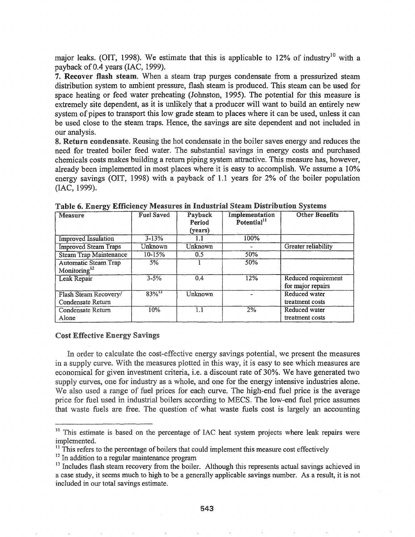major leaks. (OIT, 1998). We estimate that this is applicable to 12% of industry<sup>10</sup> with a payback of 0.4 years (IAC, 1999).

7~ Recover flash steam. When a steam trap purges condensate from a pressurized steam distribution system to ambient pressure, flash steam is produced. This steam can be used for space heating or feed water preheating (Johnston, 1995). The potential for this measure is extremely site dependent, as it is unlikely that a producer will want to build an entirely new system of pipes to transport this low grade steam to places where it can be used, unless it can be used close to the steam traps. Hence, the savings are site dependent and not included in our analysis.

8. Return condensate. Reusing the hot condensate in the boiler saves energy and reduces the need for treated boiler feed water. The substantial savings in energy costs and purchased chemicals costs makes building a return piping system attractive. This measure has, however, already been implemented in most places where it is easy to accomplish. We assume a 10% energy savings (OIT, 1998) with a payback of 1.1 years for 2% of the boiler population (IAC, 1999).

| <b>Measure</b>                                   | <b>Fuel Saved</b>    | Payback<br>Period<br>(years) | Implementation<br>Potential $11$ | <b>Other Benefits</b>                    |
|--------------------------------------------------|----------------------|------------------------------|----------------------------------|------------------------------------------|
| <b>Improved Insulation</b>                       | $3 - 13%$            | 1.1                          | 100%                             |                                          |
| <b>Improved Steam Traps</b>                      | Unknown              | Unknown                      |                                  | Greater reliability                      |
| <b>Steam Trap Maintenance</b>                    | $10 - 15%$           | 0.5                          | 50%                              |                                          |
| Automatic Steam Trap<br>Monitoring <sup>12</sup> | 5%                   |                              | 50%                              |                                          |
| Leak Repair                                      | $3 - 5%$             | 0.4                          | 12%                              | Reduced requirement<br>for major repairs |
| Flash Steam Recovery/<br>Condensate Return       | $83\%$ <sup>13</sup> | Unknown                      |                                  | Reduced water<br>treatment costs         |
| Condensate Return<br>Alone                       | 10%                  | 1.1                          | 2%                               | Reduced water<br>treatment costs         |

Table 6. Energy Efficiency Measures in Industrial Steam Distribution Systems

### **Cost Effective Energy Savings**

In order to calculate the cost-effective energy savings potential, we present the measures in a supply curve. With the measures plotted in this way, it is easy to see which measures are economical for given investment criteria, i.e. a discount rate of 30%. We have generated two supply curves, one for industry as a whole, and one for the energy intensive industries alone. We also used a range of fuel prices for each curve. The high-end fuel price is the average price for fuel used in industrial boilers according to MECS. The low-end fuel price assumes that waste fuels are free. The question of what waste fuels cost is largely an accounting

 $10$  This estimate is based on the percentage of IAC heat system projects where leak repairs were implemented.

 $11$  This refers to the percentage of boilers that could implement this measure cost effectively

 $12$  In addition to a regular maintenance program

 $13$  Includes flash steam recovery from the boiler. Although this represents actual savings achieved in a case study, it seems much to high to be a generally applicable savings number. As a result, it is not included in our total savings estimate.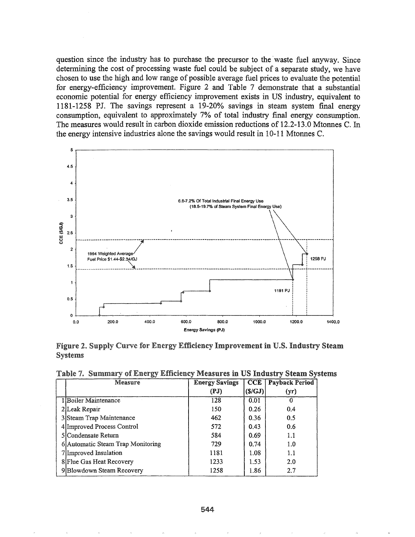question since the industry has to purchase the precursor to the waste fuel anyway. Since determining the cost of processing waste fuel could be subject of a separate study, we have chosen to use the high and low range of possible average fuel prices to evaluate the potential for energy-efficiency improvement. Figure 2 and Table 7 demonstrate that a substantial economic potential for energy efficiency improvement exists in US industry, equivalent to 1181-1258 PJ. The savings represent a 19-20% savings in steam system final energy consumption, equivalent to approximately 7% of total industry final energy consumption. The measures would result in carbon dioxide emission reductions of 12.2-13.0 Mtonnes C. In the energy intensive industries alone the savings would result in 10-11 Mtonnes C.



Figure 2. Supply Curve for Energy Efficiency Improvement in U.S. Industry Steam **Systems** 

Table 7. Summary of Energy Efficiency Measures in US Industry Steam Systems

| Measure                           | <b>Energy Savings</b> | CCE    | <b>Payback Period</b> |
|-----------------------------------|-----------------------|--------|-----------------------|
|                                   | (PJ)                  | (S/GJ) | (yr)                  |
| 1 Boiler Maintenance              | 128                   | 0.01   |                       |
| 2 Leak Repair                     | 150                   | 0.26   | 0.4                   |
| 3 Steam Trap Maintenance          | 462                   | 0.36   | 0.5                   |
| 4 Improved Process Control        | 572                   | 0.43   | 0.6                   |
| <b>SICondensate Return</b>        | 584                   | 0.69   | 1.1                   |
| 6 Automatic Steam Trap Monitoring | 729                   | 0.74   | 1.0                   |
| 7 Improved Insulation             | 1181                  | 1.08   | 1.1                   |
| 8 Flue Gas Heat Recovery          | 1233                  | 1.53   | 2.0                   |
| 9Blowdown Steam Recovery          | 1258                  | 1.86   | 2.7                   |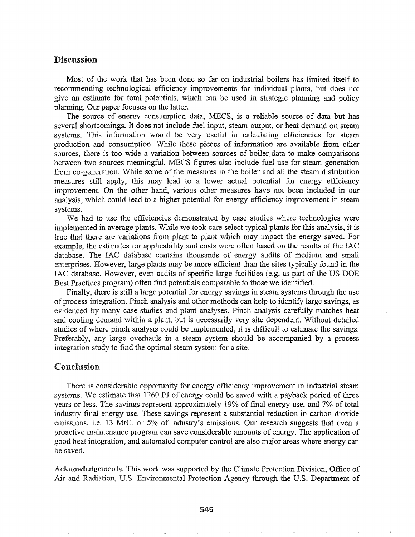## Discussion

Most of the work that has been done so far on industrial boilers has limited itself to recommending technological efficiency improvements for individual plants, but does not give an estimate for total potentials, which can be used in strategic planning and policy planning. Our paper focuses on the latter.

The source of energy consumption data, MECS, is a reliable source of data but has several shortcomings. It does not include fuel input, steam output, or heat demand on steam systems. This information would be very useful in calculating efficiencies for steam production and consumption. While these pieces of infonnation are available from other sources, there is too wide a variation between sources of boiler data to make comparisons between two sources meaningfuL MECS figures also include fuel use for steam generation from co-generation. While some of the measures in the boiler and all the steam distribution measures still apply, this may lead to a lower actual potential for energy efficiency improvement. On the other hand, various other measures have not been included in our analysis, which could lead to a higher potential for energy efficiency improvement in steam systems..

We had to use the efficiencies demonstrated by case studies where technologies were implemented in average plants. While we took care select typical plants for this analysis, it is true that there are variations from plant to plant which may impact the energy saved.. For example, the estimates for applicability and costs were often based on the results of the IAC database. The IAC database contains thousands of energy audits of medium and small enterprises. However, large plants may be more efficient than the sites typically found in the IAC database. However, even audits of specific large facilities (e.g. as part of the US DOE Best Practices program) often find potentials comparable to those we identified.

Finally, there is still a large potential for energy savings in steam systems through the use of process integration. Pinch analysis and other methods can help to identify large savings, as evidenced by many case-studies and plant analyses. Pinch analysis carefully matches heat and cooling demand within a plant, but is necessarily very site dependent. Without detailed studies of where pinch analysis could be implemented, it is difficult to estimate the savings. Preferably, any large overhauls in a steam system should be accompanied by a process integration study to find the optimal steam system for a site.

### Conclusion

There is considerable opportunity for energy efficiency improvement in industrial steam systems. We estimate that 1260 PJ of energy could be saved with a payback period of three years or less. The savings represent approximately 19% of final energy use, and 7% of total industry final energy use. These savings represent a substantial reduction in carbon dioxide emissions, i.e. 13 MtC, or 5% of industry's emissions. Our research suggests that even a proactive maintenance program can save considerable amounts of energy. The application of good heat integration, and automated computer control are also major areas where energy can be saved.

Acknowledgements. This work was supported by the Climate Protection Division, Office of Air and Radiation, U.S. Environmental Protection Agency through the U.S. Department of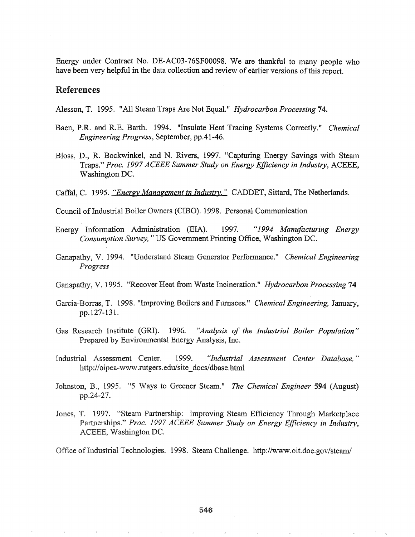Energy under Contract No. DE-AC03-76SF00098. We are thankful to many people who have been very helpful in the data collection and review of earlier versions of this report.

### **References**

Alesson, T. 1995. "All Steam Traps Are Not Equal." *Hydrocarbon Processing* 74.

- Baen, P.R. and R.E. Barth. 1994. "Insulate Heat Tracing Systems Correctly." Chemical Engineering Progress, September, pp.41-46.
- Bloss, D., R. Bockwinkel, and N. Rivers, 1997. "Capturing Energy Savings with Steam Traps." Proc. 1997 ACEEE Summer Study on Energy Efficiency in Industry, ACEEE. Washington DC.
- Caffal, C. 1995. "Energy Management in Industry." CADDET, Sittard, The Netherlands.
- Council of Industrial Boiler Owners (CIBO). 1998. Personal Communication
- Energy Information Administration (EIA). 1997. "1994 Manufacturing Energy Consumption Survey," US Government Printing Office, Washington DC.
- Ganapathy, V. 1994. "Understand Steam Generator Performance." Chemical Engineering Progress
- Ganapathy, V. 1995. "Recover Heat from Waste Incineration." *Hydrocarbon Processing* 74
- Garcia-Borras, T. 1998. "Improving Boilers and Furnaces." Chemical Engineering, January, pp.127-131.
- Gas Research Institute (GRI). 1996. "Analysis of the Industrial Boiler Population" Prepared by Environmental Energy Analysis, Inc.
- Industrial Assessment Center. 1999. "Industrial Assessment Center Database." http://oipea-www.rutgers.edu/site\_docs/dbase.html
- Johnston, B., 1995. "5 Ways to Greener Steam." The Chemical Engineer 594 (August) pp.24-27.
- Jones, T. 1997. "Steam Partnership: Improving Steam Efficiency Through Marketplace Partnerships." Proc. 1997 ACEEE Summer Study on Energy Efficiency in Industry, ACEEE, Washington DC.

Office of Industrial Technologies. 1998. Steam Challenge. http://www.oit.doe.gov/steam/